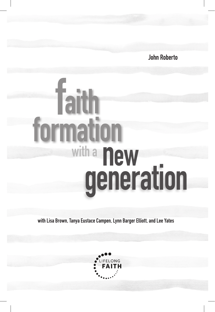**John Roberto**

# **with a generation new formation faith**

**with Lisa Brown, Tanya Eustace Campen, Lynn Barger Elliott, and Lee Yates**

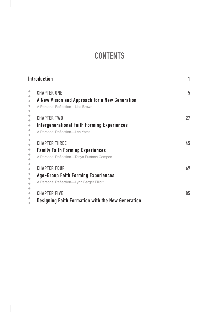# **CONTENTS**

| <b>Introduction</b>                                                                                            |    |
|----------------------------------------------------------------------------------------------------------------|----|
| <b>CHAPTER ONE</b><br>A New Vision and Approach for a New Generation<br>A Personal Reflection-I is a Brown     | 5  |
| <b>CHAPTER TWO</b><br><b>Intergenerational Faith Forming Experiences</b><br>A Personal Reflection-I ee Yates   | 27 |
| <b>CHAPTER THREE</b><br><b>Family Faith Forming Experiences</b><br>A Personal Reflection-Tanya Eustace Campen  | 45 |
| <b>CHAPTER FOUR</b><br><b>Age-Group Faith Forming Experiences</b><br>A Personal Reflection-Lynn Barger Elliott | 69 |
| <b>CHAPTER FIVE</b><br><b>Designing Faith Formation with the New Generation</b>                                | 85 |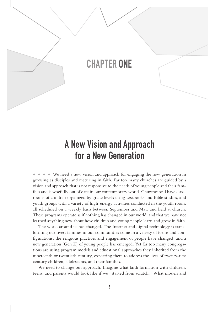# CHAPTER ONE

# A New Vision and Approach for a New Generation

◆ ◆ ◆ ◆ We need a new vision and approach for engaging the new generation in growing as disciples and maturing in faith. Far too many churches are guided by a vision and approach that is not responsive to the needs of young people and their families and is woefully out of date in our contemporary world. Churches still have classrooms of children organized by grade levels using textbooks and Bible studies, and youth groups with a variety of high-energy activities conducted in the youth room, all scheduled on a weekly basis between September and May, and held at church. These programs operate as if nothing has changed in our world, and that we have not learned anything new about how children and young people learn and grow in faith.

The world around us has changed. The Internet and digital technology is transforming our lives; families in our communities come in a variety of forms and configurations; the religious practices and engagement of people have changed; and a new generation (Gen Z) of young people has emerged. Yet far too many congregations are using program models and educational approaches they inherited from the nineteenth or twentieth century, expecting them to address the lives of twenty-first century children, adolescents, and their families.

We need to change our approach. Imagine what faith formation with children, teens, and parents would look like if we "started from scratch." What models and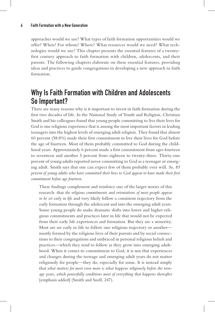approaches would we use? What types of faith formation opportunities would we offer? When? For whom? Where? What resources would we need? What technologies would we use? This chapter presents the essential features of a twentyfirst century approach to faith formation with children, adolescents, and their parents. The following chapters elaborate on these essential features, providing ideas and practices to guide congregations in developing a new approach to faith formation.

## Why Is Faith Formation with Children and Adolescents So Important?

There are many reasons why is it important to invest in faith formation during the first two decades of life. In the National Study of Youth and Religion, Christian Smith and his colleagues found that young people committing to live their lives for God is one religious experience that is among the most important factors in leading teenagers into the highest levels of emerging adult religion. They found that almost 60 percent (58.8%) made their first commitment to live their lives for God before the age of fourteen. Most of them probably committed to God during the childhood years. Approximately 6 percent made a first commitment from ages fourteen to seventeen and another 5 percent from eighteen to twenty-three. Thirty-one percent of young adults reported never committing to God as a teenager or emerging adult. Smith says that one can expect few of them probably ever will. *So, 85 percent of young adults who have committed their lives to God appear to have made their first commitment before age fourteen*.

These findings complement and reinforce one of the larger stories of this research: that *the religious commitments and orientations of most people appear to be set early in life* and very likely follow a consistent trajectory from the early formation through the adolescent and into the emerging adult years. Some young people do make dramatic shifts into lower and higher religious commitments and practices later in life that would not be expected from their early life experiences and formation. But they are a minority. Most are set early in life to follow one religious trajectory or another mostly formed by the religious lives of their parents and by social connections to their congregations and embraced in personal religious beliefs and practices—which they tend to follow as they grow into emerging adulthood. When it comes to commitment to God, it is not that experiences and changes during the teenage and emerging adult years do not matter religiously for people—they do, especially for some. It is instead simply that *what matters for most even more is what happens religiously before the teenage years, which powerfully conditions most of everything that happens thereafter*  [emphasis added] (Smith and Snell, 247).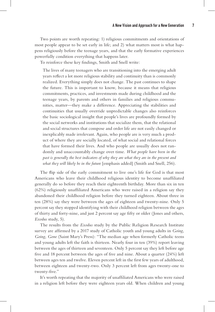Two points are worth repeating: 1) religious commitments and orientations of most people appear to be set early in life; and 2) what matters most is what happens religiously before the teenage years, and that the early formative experiences powerfully condition everything that happens later.

To reinforce these key findings, Smith and Snell write:

The lives of many teenagers who are transitioning into the emerging adult years reflect a lot more religious stability and continuity than is commonly realized. Everything simply does not change. The past continues to shape the future. This is important to know, because it means that religious commitments, practices, and investments made during childhood and the teenage years, by parents and others in families and religious communities, matter—they make a difference. Appreciating the stabilities and continuities that usually override unpredictable changes also reinforces the basic sociological insight that people's lives are profoundly formed by the social networks and institutions that socialize them, that the relational and social structures that compose and order life are not easily changed or inexplicably made irrelevant. Again, who people are is very much a product of where they are socially located, of what social and relational forces that have formed their lives. And who people are usually does not randomly and unaccountably change over time. *What people have been in the past is generally the best indicators of why they are what they are in the present and what they will likely be in the future* [emphasis added] (Smith and Snell, 256).

The flip side of the early commitment to live one's life for God is that most Americans who leave their childhood religious identity to become unaffiliated generally do so before they reach their eighteenth birthday. More than six in ten (62%) religiously unaffiliated Americans who were raised in a religion say they abandoned their childhood religion before they turned eighteen. About three in ten (28%) say they were between the ages of eighteen and twenty-nine. Only 5 percent say they stopped identifying with their childhood religion between the ages of thirty and forty-nine, and just 2 percent say age fifty or older (Jones and others, *Exodus* study, 5).

The results from the *Exodus* study by the Public Religion Research Institute survey are affirmed by a 2017 study of Catholic youth and young adults in *Going, Going, Gone* (Saint Mary's Press): "The median age when formerly Catholic teens and young adults left the faith is thirteen. Nearly four in ten (39%) report leaving between the ages of thirteen and seventeen. Only 5 percent say they left before age five and 18 percent between the ages of five and nine. About a quarter (24%) left between ages ten and twelve. Eleven percent left in the first few years of adulthood, between eighteen and twenty-two. Only 3 percent left from ages twenty-one to twenty-five."

It's worth repeating that the majority of unaffiliated Americans who were raised in a religion left before they were eighteen years old. When children and young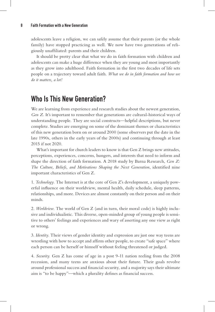adolescents leave a religion, we can safely assume that their parents (or the whole family) have stopped practicing as well. We now have two generations of religiously unaffiliated: parents and their children.

It should be pretty clear that what we do in faith formation with children and adolescents can make a huge difference when they are young and most importantly as they grow into adulthood. Faith formation in the first two decades of life sets people on a trajectory toward adult faith. *What we do in faith formation and how we do it matters, a lot!*

# Who Is This New Generation?

We are learning from experience and research studies about the newest generation, *Gen Z.* It's important to remember that generations are cultural-historical ways of understanding people. They are social constructs—helpful descriptions, but never complete. Studies are emerging on some of the dominant themes or characteristics of this new generation born on or around 2000 (some observers put the date in the late 1990s, others in the early years of the 2000s) and continuing through at least 2015 if not 2020.

What's important for church leaders to know is that Gen Z brings new attitudes, perceptions, experiences, concerns, hungers, and interests that need to inform and shape the direction of faith formation. A 2018 study by Barna Research, *Gen Z: The Culture, Beliefs, and Motivations Shaping the Next Generation*, identified nine important characteristics of Gen Z.

1. *Technology.* The Internet is at the core of Gen Z's development, a uniquely powerful influence on their worldview, mental health, daily schedule, sleep patterns, relationships, and more. Devices are almost constantly on their person and on their minds.

2. *Worldview.* The world of Gen Z (and in turn, their moral code) is highly inclusive and individualistic. This diverse, open-minded group of young people is sensitive to others' feelings and experiences and wary of asserting any one view as right or wrong.

3. *Identity.* Their views of gender identity and expression are just one way teens are wrestling with how to accept and affirm other people, to create "safe space" where each person can be herself or himself without feeling threatened or judged.

4. *Security.* Gen Z has come of age in a post 9-11 nation reeling from the 2008 recession, and many teens are anxious about their future. Their goals revolve around professional success and financial security, and a majority says their ultimate aim is "to be happy"—which a plurality defines as financial success.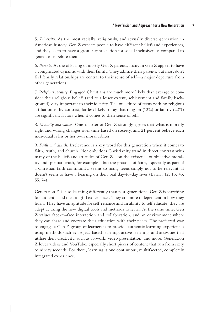5. *Diversity.* As the most racially, religiously, and sexually diverse generation in American history, Gen Z expects people to have different beliefs and experiences, and they seem to have a greater appreciation for social inclusiveness compared to generations before them.

6. *Parents.* As the offspring of mostly Gen X parents, many in Gen Z appear to have a complicated dynamic with their family. They admire their parents, but most don't feel family relationships are central to their sense of self—a major departure from other generations.

7. *Religious identity.* Engaged Christians are much more likely than average to consider their religious beliefs (and to a lesser extent, achievement and family background) very important to their identity. The one-third of teens with no religious affiliation is, by contrast, far less likely to say that religion (12%) or family (22%) are significant factors when it comes to their sense of self.

8. *Morality and values.* One-quarter of Gen Z strongly agrees that what is morally right and wrong changes over time based on society, and 21 percent believe each individual is his or her own moral arbiter.

9. *Faith and church.* Irrelevance is a key word for this generation when it comes to faith, truth, and church. Not only does Christianity stand in direct contrast with many of the beliefs and attitudes of Gen Z—on the existence of objective morality and spiritual truth, for example—but the practice of faith, especially as part of a Christian faith community, seems to many teens simply not to be relevant. It doesn't seem to have a bearing on their real day-to-day lives (Barna, 12, 13, 43, 55, 74).

Generation Z is also learning differently than past generations. Gen Z is searching for authentic and meaningful experiences. They are more independent in how they learn. They have an aptitude for self-reliance and an ability to self educate; they are adept at using the new digital tools and methods to learn. At the same time, Gen Z values face-to-face interaction and collaboration, and an environment where they can share and cocreate their education with their peers. The preferred way to engage a Gen Z group of learners is to provide authentic learning experiences using methods such as project-based learning, active learning, and activities that utilize their creativity, such as artwork, video presentation, and more. Generation Z loves videos and YouTube, especially short pieces of content that run from sixty to ninety seconds. For them, learning is one continuous, multifaceted, completely integrated experience.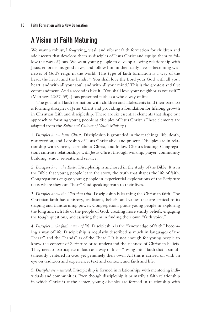# A Vision of Faith Maturing

We want a robust, life-giving, vital, and vibrant faith formation for children and adolescents that develops them as disciples of Jesus Christ and equips them to follow the way of Jesus. We want young people to develop a loving relationship with Jesus, embrace his good news, and follow him in their daily lives—becoming witnesses of God's reign in the world. This type of faith formation is a way of the head, the heart, and the hands: "'You shall love the Lord your God with all your heart, and with all your soul, and with all your mind.' This is the greatest and first commandment. And a second is like it: 'You shall love your neighbor as yourself'" (Matthew 22:37–39). Jesus presented faith as a whole way of life.

The goal of all faith formation with children and adolescents (and their parents) is forming disciples of Jesus Christ and providing a foundation for lifelong growth in Christian faith and discipleship. There are six essential elements that shape our approach to forming young people as disciples of Jesus Christ. (These elements are adapted from the *Spirit and Culture of Youth Ministry*.)

1. *Disciples know Jesus Christ.* Discipleship is grounded in the teachings, life, death, resurrection, and Lordship of Jesus Christ alive and present. Disciples are in relationship with Christ, learn about Christ, and follow Christ's leading. Congregations cultivate relationships with Jesus Christ through worship, prayer, community building, study, retreats, and service.

2. *Disciples know the Bible.* Discipleship is anchored in the study of the Bible. It is in the Bible that young people learn the story, the truth that shapes the life of faith. Congregations engage young people in experiential explorations of the Scripture texts where they can "hear" God speaking truth to their lives.

3. *Disciples know the Christian faith.* Discipleship is learning the Christian faith. The Christian faith has a history, traditions, beliefs, and values that are critical to its shaping and transforming power. Congregations guide young people in exploring the long and rich life of the people of God, creating more sturdy beliefs, engaging the tough questions, and assisting them in finding their own "faith voice."

4. *Disciples make faith a way of life.* Discipleship is the "knowledge of faith" becoming a way of life. Discipleship is regularly described as much in languages of the "heart" and the "hands" as of the "head." It is not enough for young people to know the content of Scripture or to understand the richness of Christian beliefs. They need to participate in faith as a way of life—"living into" faith that is simultaneously centered in God yet genuinely their own. All this is carried on with an eye on tradition and experience, text and context, and faith and life.

5. *Disciples are mentored.* Discipleship is formed in relationships with mentoring individuals and communities. Even though discipleship is primarily a faith relationship in which Christ is at the center, young disciples are formed in relationship with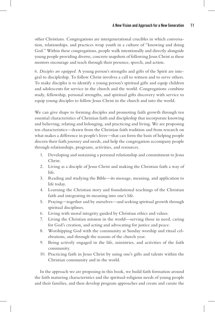other Christians. Congregations are intergenerational crucibles in which conversation, relationships, and practices wrap youth in a culture of "knowing and doing God." Within these congregations, people walk intentionally and directly alongside young people providing diverse, concrete snapshots of following Jesus Christ as these mentors encourage and teach through their presence, speech, and action.

6. *Disciples are equipped.* A young person's strengths and gifts of the Spirit are integral to discipleship. To follow Christ involves a call to witness and to serve others. To make disciples is to identify a young person's spiritual gifts and equip children and adolescents for service in the church and the world. Congregations combine study, fellowship, personal strengths, and spiritual gifts discovery with service to equip young disciples to follow Jesus Christ in the church and into the world.

We can give shape to forming disciples and promoting faith growth through ten essential characteristics of Christian faith and discipleship that incorporate knowing and believing, relating and belonging, and practicing and living. We are proposing ten characteristics—drawn from the Christian faith tradition and from research on what makes a difference in people's lives—that can form the basis of helping people discern their faith journey and needs, and help the congregation accompany people through relationships, programs, activities, and resources.

- 1. Developing and sustaining a personal relationship and commitment to Jesus Christ.
- 2. Living as a disciple of Jesus Christ and making the Christian faith a way of life.
- 3. Reading and studying the Bible—its message, meaning, and application to life today.
- 4. Learning the Christian story and foundational teachings of the Christian faith and integrating its meaning into one's life.
- 5. Praying—together and by ourselves—and seeking spiritual growth through spiritual disciplines.
- 6. Living with moral integrity guided by Christian ethics and values.
- 7. Living the Christian mission in the world—serving those in need, caring for God's creation, and acting and advocating for justice and peace.
- 8. Worshipping God with the community at Sunday worship and ritual celebrations, and through the seasons of the church year.
- 9. Being actively engaged in the life, ministries, and activities of the faith community.
- 10. Practicing faith in Jesus Christ by using one's gifts and talents within the Christian community and in the world.

In the approach we are proposing in this book, we build faith formation around the faith maturing characteristics and the spiritual-religious needs of young people and their families, and then develop program approaches and create and curate the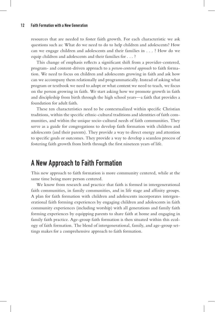resources that are needed to foster faith growth. For each characteristic we ask questions such as: What do we need to do to help children and adolescents? How can we engage children and adolescents and their families in . . . ? How do we equip children and adolescents and their families for . . . ?

This change of emphasis reflects a significant shift from a provider-centered, program- and content-driven approach to a *person-centered approach* to faith formation. We need to focus on children and adolescents growing in faith and ask how can we accompany them relationally and programmatically. Instead of asking what program or textbook we need to adopt or what content we need to teach, we focus on the person growing in faith. We start asking how we promote growth in faith and discipleship from birth through the high school years—a faith that provides a foundation for adult faith.

These ten characteristics need to be contextualized within specific Christian traditions, within the specific ethnic-cultural traditions and identities of faith communities, and within the unique socio-cultural needs of faith communities. They serve as a guide for congregations to develop faith formation with children and adolescents (and their parents). They provide a way to direct energy and attention to specific goals or outcomes. They provide a way to develop a seamless process of fostering faith growth from birth through the first nineteen years of life.

## A New Approach to Faith Formation

This new approach to faith formation is more community centered, while at the same time being more person centered.

We know from research and practice that faith is formed in intergenerational faith communities, in family communities, and in life stage and affinity groups. A plan for faith formation with children and adolescents incorporates intergenerational faith forming experiences by engaging children and adolescents in faith community experiences (including worship) with all generations and family faith forming experiences by equipping parents to share faith at home and engaging in family faith practice. Age-group faith formation is then situated within this ecology of faith formation. The blend of intergenerational, family, and age-group settings makes for a comprehensive approach to faith formation.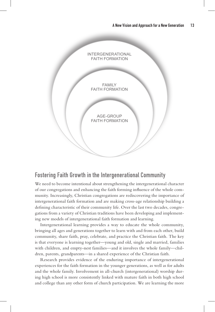

#### Fostering Faith Growth in the Intergenerational Community

We need to become intentional about strengthening the intergenerational character of our congregations and enhancing the faith forming influence of the whole community. Increasingly, Christian congregations are rediscovering the importance of intergenerational faith formation and are making cross-age relationship building a defining characteristic of their community life. Over the last two decades, congregations from a variety of Christian traditions have been developing and implementing new models of intergenerational faith formation and learning.

Intergenerational learning provides a way to educate the whole community, bringing all ages and generations together to learn with and from each other, build community, share faith, pray, celebrate, and practice the Christian faith. The key is that everyone is learning together—young and old, single and married, families with children, and empty-nest families—and it involves the whole family—children, parents, grandparents—in a shared experience of the Christian faith.

Research provides evidence of the enduring importance of intergenerational experiences for the faith formation in the younger generations, as well as for adults and the whole family. Involvement in all-church (intergenerational) worship during high school is more consistently linked with mature faith in both high school and college than any other form of church participation. We are learning the more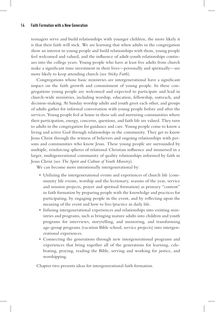teenagers serve and build relationships with younger children, the more likely it is that their faith will stick. We are learning that when adults in the congregation show an interest in young people and build relationships with them, young people feel welcomed and valued, and the influence of adult-youth relationships continues into the college years. Young people who have at least five adults from church make a significant time investment in their lives—personally and spiritually—are more likely to keep attending church (see *Sticky Faith*).

Congregations whose basic ministries are intergenerational have a significant impact on the faith growth and commitment of young people. In these congregations young people are welcomed and expected to participate and lead in church-wide ministries, including worship, education, fellowship, outreach, and decision-making. At Sunday worship adults and youth greet each other, and groups of adults gather for informal conversation with young people before and after the services. Young people feel at home in these safe and nurturing communities where their participation, energy, concerns, questions, and faith life are valued. They turn to adults in the congregation for guidance and care. Young people come to know a living and active God through relationships in the community. They get to know Jesus Christ through the witness of believers and ongoing relationships with persons and communities who know Jesus. These young people are surrounded by multiple, reinforcing spheres of relational Christian influence and immersed in a larger, multigenerational community of quality relationships informed by faith in Jesus Christ (see *The Spirit and Culture of Youth Ministry*).

We can become more intentionally intergenerational by:

- Utilizing the intergenerational events and experiences of church life (community life events, worship and the lectionary, seasons of the year, service and mission projects, prayer and spiritual formation) as primary "content" in faith formation by preparing people with the knowledge and practices for participating, by engaging people in the event, and by reflecting upon the meaning of the event and how to live/practice in daily life.
- Infusing intergenerational experiences and relationships into existing ministries and programs, such as bringing mature adults into children and youth programs for interviews, storytelling, and mentoring, and transforming age-group programs (vacation Bible school, service projects) into intergenerational experiences.
- Connecting the generations through new intergenerational programs and experiences that bring together all of the generations for learning, celebrating, praying, reading the Bible, serving and working for justice, and worshipping.

Chapter two presents ideas for intergenerational faith formation.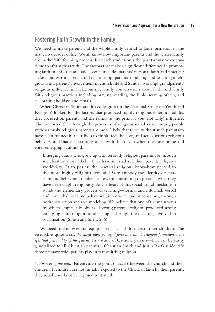#### Fostering Faith Growth in the Family

We need to make parents and the whole family central to faith formation in the first two decades of life. We all know how important parents and the whole family are in the faith forming process. Research studies over the past twenty years continue to affirm this truth. The factors that make a significant difference in promoting faith in children and adolescents include: parents' personal faith and practice; a close and warm parent-child relationship; parents' modeling and teaching a religious faith; parents' involvement in church life and Sunday worship; grandparents' religious influence and relationship; family conversations about faith; and family faith religious practices including praying, reading the Bible, serving others, and celebrating holidays and rituals.

When Christian Smith and his colleagues (in the National Study on Youth and Religion) looked for the factors that produced highly religious emerging adults, they focused on parents and the family as the primary (but not only) influence. They reported that through the processes of religious socialization young people with seriously religious parents are more likely that those without such parents to have been trained in their lives to think, feel, believe, and act as serious religious believers, and that that training sticks with them even when the leave home and enter emerging adulthood.

Emerging adults who grew up with seriously religious parents are through socialization more likely: 1) to have internalized their parents religious worldview, 2) to possess the practical religious know-how needed to live more highly religious lives, and 3) to embody the identity orientations and behavioral tendencies toward continuing to practice what they have been taught religiously. At the heart of this social causal mechanism stands the elementary process of teaching—formal and informal, verbal and nonverbal, oral and behavioral, intentional and unconscious, through both instruction and role modeling. We believe that one of the main ways by which empirically observed strong parental religion produced strong emerging adult religion in offspring is through the teaching involved in socialization (Smith and Snell, 256).

We need to empower and equip parents as faith formers of their children. The research is quite clear: *the single most powerful force in a child's religious formation is the spiritual personality of the parent.* In a study of Catholic parents—that can be easily generalized to all Christian parents—Christian Smith and Justin Bartkus identify three primary roles parents play in transmitting religion.

1. *Sponsor of the faith.* Parents are the point of access between the church and their children. If children are not initially exposed to the Christian faith by their parents, they usually will not be exposed to it at all.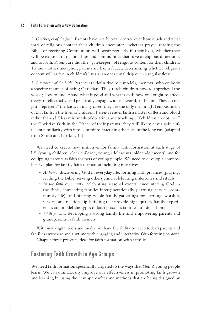2. *Gatekeeper of the faith.* Parents have nearly total control over how much and what sorts of religious content their children encounter—whether prayer, reading the Bible, or receiving Communion will occur regularly in their lives, whether they will be exposed to relationships and communities that have a religious dimension, and so forth. Parents are thus the "gatekeeper" of religious content for their children. To use another metaphor, parents are like a faucet, determining whether religious content will arrive in children's lives as an occasional drip or in a regular flow.

3. *Interpreter of the faith.* Parents are definitive role models, mentors, who embody a specific manner of being Christian. They teach children how to apprehend the world; how to understand what is good and what is evil; how one ought to affectively, intellectually, and practically engage with the world; and so on. They do not just "represent" the faith; in many cases, they are the only meaningful embodiment of that faith in the lives of children. Parents render faith a matter of flesh and blood rather than a lifeless mishmash of doctrines and teachings. If children do not "see" the Christian faith in the "face" of their parents, they will likely never gain sufficient familiarity with it to commit to practicing the faith in the long run (adapted from Smith and Bartkus, 15).

We need to create new initiatives for family faith formation at each stage of life (young children, older children, young adolescents, older adolescents) and for equipping parents as faith formers of young people. We need to develop a comprehensive plan for family faith formation including initiatives:

- *At home:* discovering God in everyday life, forming faith practices (praying, reading the Bible, serving others), and celebrating milestones and rituals.
- *In the faith community:* celebrating seasonal events, encountering God in the Bible, connecting families intergenerationally (learning, service, community life), and offering whole family gatherings for learning, worship, service, and relationship-building that provide high-quality family experiences and model the types of faith practices families can do at home.
- *With parents:* developing a strong family life and empowering parents and grandparents as faith formers.

With new digital tools and media, we have the ability to reach today's parents and families anywhere and anytime with engaging and interactive faith forming content.

Chapter three presents ideas for faith formation with families.

### Fostering Faith Growth in Age Groups

We need faith formation specifically targeted to the ways that Gen Z young people learn. We can dramatically improve our effectiveness in promoting faith growth and learning by using the new approaches and methods that are being designed by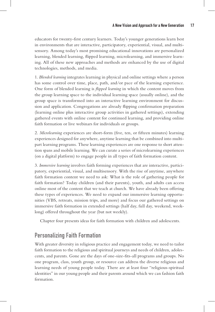educators for twenty-first century learners. Today's younger generations learn best in environments that are interactive, participatory, experiential, visual, and multisensory. Among today's most promising educational innovations are personalized learning, blended learning, flipped learning, microlearning, and immersive learning. All of these new approaches and methods are enhanced by the use of digital technologies, methods, and media.

1. *Blended learning* integrates learning in physical and online settings where a person has some control over time, place, path, and/or pace of the learning experience. One form of blended learning is *flipped learning* in which the content moves from the group learning space to the individual learning space (usually online), and the group space is transformed into an interactive learning environment for discussion and application. Congregations are already flipping confirmation preparation (learning online plus interactive group activities in gathered settings), extending gathered events with online content for continued learning, and providing online faith formation or live webinars for individuals or groups.

2. *Microlearning* experiences are short-form (five, ten, or fifteen minutes) learning experiences designed for anywhere, anytime learning that be combined into multipart learning programs. These learning experiences are one response to short attention spans and mobile learning. We can curate a series of microlearning experiences (on a digital platform) to engage people in all types of faith formation content.

3. *Immersive learning* involves faith forming experiences that are interactive, participatory, experiential, visual, and multisensory. With the rise of anytime, anywhere faith formation content we need to ask: What is the role of gathering people for faith formation? Today children (and their parents), youth, and adults can access online most of the content that we teach at church. We have already been offering these types of experiences. We need to expand our immersive learning opportunities (VBS, retreats, mission trips, and more) and focus our gathered settings on immersive faith formation in extended settings (half day, full day, weekend, weeklong) offered throughout the year (but not weekly).

Chapter four presents ideas for faith formation with children and adolescents.

## Personalizing Faith Formation

With greater diversity in religious practice and engagement today, we need to tailor faith formation to the religious and spiritual journeys and needs of children, adolescents, and parents. Gone are the days of one-size-fits-all programs and groups. No one program, class, youth group, or resource can address the diverse religious and learning needs of young people today. There are at least four "religious-spiritual identities" in our young people and their parents around which we can fashion faith formation.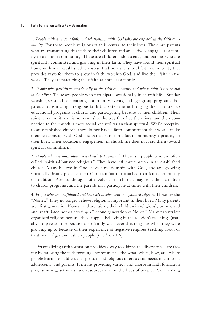1. *People with a vibrant faith and relationship with God who are engaged in the faith community*. For these people religious faith is central to their lives. These are parents who are transmitting this faith to their children and are actively engaged as a family in a church community. These are children, adolescents, and parents who are spiritually committed and growing in their faith. They have found their spiritual home within an established Christian tradition and a local faith community that provides ways for them to grow in faith, worship God, and live their faith in the world. They are practicing their faith at home as a family.

2. *People who participate occasionally in the faith community and whose faith is not central to their lives.* These are people who participate occasionally in church life—Sunday worship, seasonal celebrations, community events, and age-group programs. For parents transmitting a religious faith that often means bringing their children to educational programs at church and participating because of their children. Their spiritual commitment is not central to the way they live their lives, and their connection to the church is more social and utilitarian than spiritual. While receptive to an established church, they do not have a faith commitment that would make their relationship with God and participation in a faith community a priority in their lives. Their occasional engagement in church life does not lead them toward spiritual commitment.

3. *People who are uninvolved in a church but spiritual.* These are people who are often called "spiritual but not religious." They have left participation in an established church. Many believe in God, have a relationship with God, and are growing spiritually. Many practice their Christian faith unattached to a faith community or tradition. Parents, though not involved in a church, may send their children to church programs, and the parents may participate at times with their children.

4. *People who are unaffiliated and have left involvement in organized religion.* These are the "Nones." They no longer believe religion is important in their lives. Many parents are "first generation Nones" and are raising their children in religiously uninvolved and unaffiliated homes creating a "second generation of Nones." Many parents left organized religion because they stopped believing in the religion's teachings (usually a top reason) or because their family was never that religious when they were growing up or because of their experience of negative religious teaching about or treatment of gay and lesbian people (*Exodus*, 2016).

Personalizing faith formation provides a way to address the diversity we are facing by tailoring the faith forming environment—the what, when, how, and where people learn—to address the spiritual and religious interests and needs of children, adolescents, and parents. It means providing variety and choice in faith formation programming, activities, and resources around the lives of people. Personalizing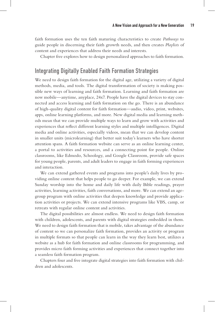faith formation uses the ten faith maturing characteristics to create *Pathways* to guide people in discerning their faith growth needs, and then creates *Playlists* of content and experiences that address their needs and interests.

Chapter five explores how to design personalized approaches to faith formation.

#### Integrating Digitally Enabled Faith Formation Strategies

We need to design faith formation for the digital age, utilizing a variety of digital methods, media, and tools. The digital transformation of society is making possible new ways of learning and faith formation. Learning and faith formation are now mobile—anytime, anyplace, 24x7. People have the digital devices to stay connected and access learning and faith formation on the go. There is an abundance of high-quality digital content for faith formation—audio, video, print, websites, apps, online learning platforms, and more. New digital media and learning methods mean that we can provide multiple ways to learn and grow with activities and experiences that reflect different learning styles and multiple intelligences. Digital media and online activities, especially videos, mean that we can develop content in smaller units (microlearning) that better suit today's learners who have shorter attention spans. A faith formation website can serve as an online learning center, a portal to activities and resources, and a connecting point for people. Online classrooms, like Edmodo, Schoology, and Google Classroom, provide safe spaces for young people, parents, and adult leaders to engage in faith forming experiences and interaction.

We can extend gathered events and programs into people's daily lives by providing online content that helps people to go deeper. For example, we can extend Sunday worship into the home and daily life with daily Bible readings, prayer activities, learning activities, faith conversations, and more. We can extend an agegroup program with online activities that deepen knowledge and provide application activities or projects. We can extend intensive programs like VBS, camp, or retreats with regular online content and activities.

The digital possibilities are almost endless. We need to design faith formation with children, adolescents, and parents with digital strategies embedded in them. We need to design faith formation that is mobile, takes advantage of the abundance of content so we can personalize faith formation, provides an activity or program in multiple formats so that people can learn in the way they learn best, utilizes a website as a hub for faith formation and online classrooms for programming, and provides micro faith forming activities and experiences that connect together into a seamless faith formation program.

Chapters four and five integrate digital strategies into faith formation with children and adolescents.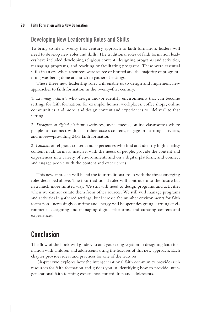### Developing New Leadership Roles and Skills

To bring to life a twenty-first century approach to faith formation, leaders will need to develop new roles and skills. The traditional roles of faith formation leaders have included developing religious content, designing programs and activities, managing programs, and teaching or facilitating programs. These were essential skills in an era when resources were scarce or limited and the majority of programming was being done at church in gathered settings.

These three new leadership roles will enable us to design and implement new approaches to faith formation in the twenty-first century.

1. *Learning architects* who design and/or identify environments that can become settings for faith formation, for example, homes, workplaces, coffee shops, online communities, and more; and design content and experiences to "deliver" to that setting.

2. *Designers of digital platforms* (websites, social media, online classrooms) where people can connect with each other, access content, engage in learning activities, and more—providing 24x7 faith formation.

3. *Curators* of religious content and experiences who find and identify high-quality content in all formats, match it with the needs of people, provide the content and experiences in a variety of environments and on a digital platform, and connect and engage people with the content and experiences.

This new approach will blend the four traditional roles with the three emerging roles described above. The four traditional roles will continue into the future but in a much more limited way. We still will need to design programs and activities when we cannot curate them from other sources. We still will manage programs and activities in gathered settings, but increase the number environments for faith formation. Increasingly our time and energy will be spent designing learning environments, designing and managing digital platforms, and curating content and experiences.

# Conclusion

The flow of the book will guide you and your congregation in designing faith formation with children and adolescents using the features of this new approach. Each chapter provides ideas and practices for one of the features.

Chapter two explores how the intergenerational faith community provides rich resources for faith formation and guides you in identifying how to provide intergenerational faith forming experiences for children and adolescents.